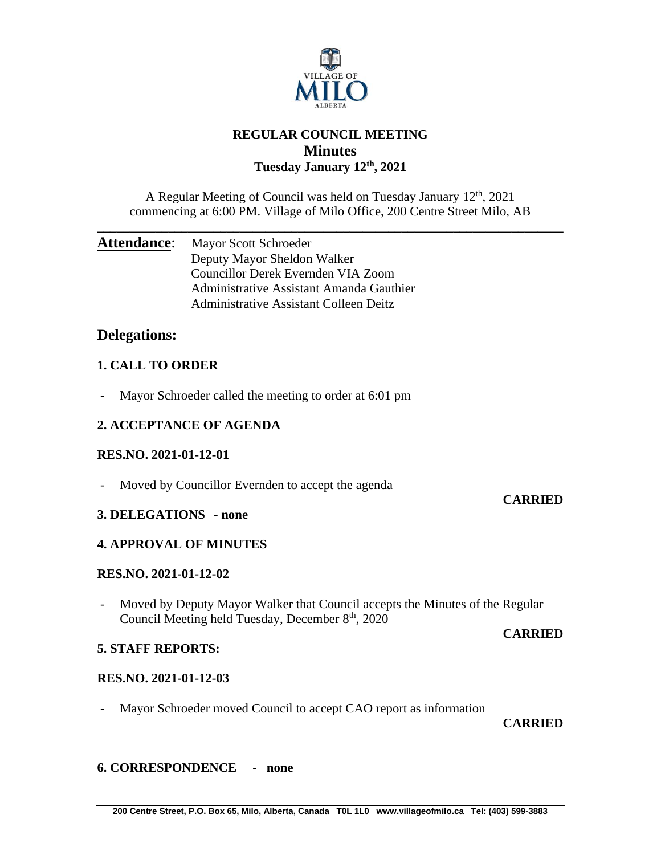

# **REGULAR COUNCIL MEETING Minutes Tuesday January 12th, 2021**

A Regular Meeting of Council was held on Tuesday January  $12<sup>th</sup>$ , 2021 commencing at 6:00 PM. Village of Milo Office, 200 Centre Street Milo, AB

**\_\_\_\_\_\_\_\_\_\_\_\_\_\_\_\_\_\_\_\_\_\_\_\_\_\_\_\_\_\_\_\_\_\_\_\_\_\_\_\_\_\_\_\_\_\_\_\_\_\_\_\_\_\_\_\_\_\_\_\_\_\_\_\_\_\_\_\_\_\_\_\_**

| <b>Attendance:</b> Mayor Scott Schroeder |
|------------------------------------------|
| Deputy Mayor Sheldon Walker              |
| Councillor Derek Evernden VIA Zoom       |
| Administrative Assistant Amanda Gauthier |
| Administrative Assistant Colleen Deitz   |

# **Delegations:**

# **1. CALL TO ORDER**

- Mayor Schroeder called the meeting to order at 6:01 pm

# **2. ACCEPTANCE OF AGENDA**

# **RES.NO. 2021-01-12-01**

- Moved by Councillor Evernden to accept the agenda

# **3. DELEGATIONS - none**

# **4. APPROVAL OF MINUTES**

# **RES.NO. 2021-01-12-02**

- Moved by Deputy Mayor Walker that Council accepts the Minutes of the Regular Council Meeting held Tuesday, December 8<sup>th</sup>, 2020

### **CARRIED**

**CARRIED**

# **5. STAFF REPORTS:**

# **RES.NO. 2021-01-12-03**

- Mayor Schroeder moved Council to accept CAO report as information

**CARRIED**

# **6. CORRESPONDENCE - none**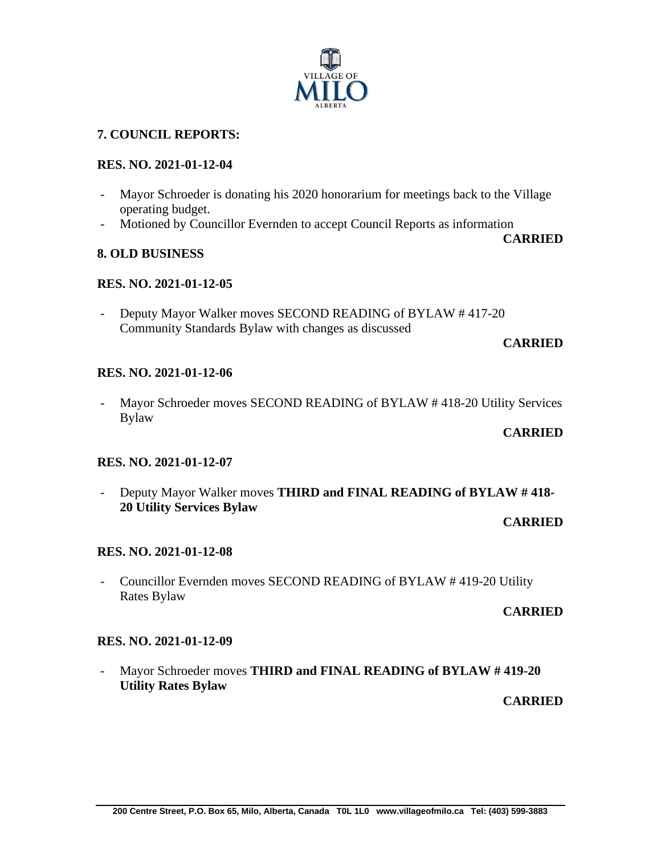

# **7. COUNCIL REPORTS:**

# **RES. NO. 2021-01-12-04**

- Mayor Schroeder is donating his 2020 honorarium for meetings back to the Village operating budget.
- Motioned by Councillor Evernden to accept Council Reports as information

**CARRIED**

# **8. OLD BUSINESS**

## **RES. NO. 2021-01-12-05**

- Deputy Mayor Walker moves SECOND READING of BYLAW #417-20 Community Standards Bylaw with changes as discussed

#### **CARRIED**

## **RES. NO. 2021-01-12-06**

- Mayor Schroeder moves SECOND READING of BYLAW #418-20 Utility Services Bylaw

## **CARRIED**

### **RES. NO. 2021-01-12-07**

- Deputy Mayor Walker moves **THIRD and FINAL READING of BYLAW # 418- 20 Utility Services Bylaw**

**CARRIED**

# **RES. NO. 2021-01-12-08**

Councillor Evernden moves SECOND READING of BYLAW # 419-20 Utility Rates Bylaw

### **CARRIED**

### **RES. NO. 2021-01-12-09**

- Mayor Schroeder moves **THIRD and FINAL READING of BYLAW # 419-20 Utility Rates Bylaw**

**CARRIED**